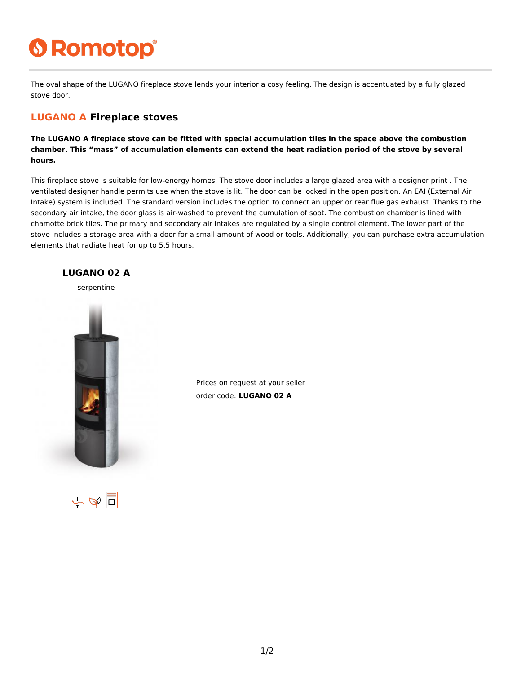# **6 Romotop®**

The oval shape of the LUGANO fireplace stove lends your interior a cosy feeling. The design is accentuated by a fully glazed stove door.

#### **LUGANO A Fireplace stoves**

**The LUGANO A fireplace stove can be fitted with special accumulation tiles in the space above the combustion chamber. This "mass" of accumulation elements can extend the heat radiation period of the stove by several hours.**

This fireplace stove is suitable for low-energy homes. The stove door includes a large glazed area with a designer print . The ventilated designer handle permits use when the stove is lit. The door can be locked in the open position. An EAI (External Air Intake) system is included. The standard version includes the option to connect an upper or rear flue gas exhaust. Thanks to the secondary air intake, the door glass is air-washed to prevent the cumulation of soot. The combustion chamber is lined with chamotte brick tiles. The primary and secondary air intakes are regulated by a single control element. The lower part of the stove includes a storage area with a door for a small amount of wood or tools. Additionally, you can purchase extra accumulation elements that radiate heat for up to 5.5 hours.



Prices on request at your seller order code: **LUGANO 02 A**